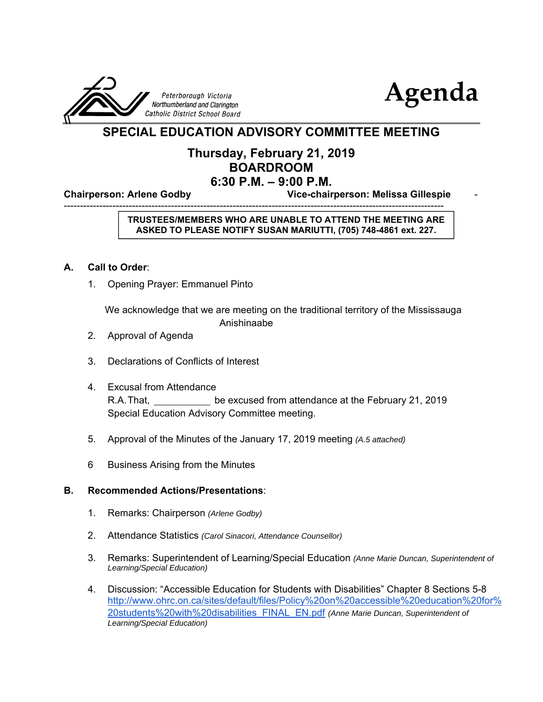



# **SPECIAL EDUCATION ADVISORY COMMITTEE MEETING**

## **Thursday, February 21, 2019 BOARDROOM 6:30 P.M. – 9:00 P.M.**

**Chairperson: Arlene Godby Vice-chairperson: Melissa Gillespie** -

--------------------------------------------------------------------------------------------------------------------- **TRUSTEES/MEMBERS WHO ARE UNABLE TO ATTEND THE MEETING ARE ASKED TO PLEASE NOTIFY SUSAN MARIUTTI, (705) 748-4861 ext. 227.**

### **A. Call to Order**:

1. Opening Prayer: Emmanuel Pinto

 We acknowledge that we are meeting on the traditional territory of the Mississauga Anishinaabe

- 2. Approval of Agenda
- 3. Declarations of Conflicts of Interest
- 4. Excusal from Attendance R.A. That, be excused from attendance at the February 21, 2019 Special Education Advisory Committee meeting.
- 5. Approval of the Minutes of the January 17, 2019 meeting *(A.5 attached)*
- 6 Business Arising from the Minutes

#### **B. Recommended Actions/Presentations**:

- 1. Remarks: Chairperson *(Arlene Godby)*
- 2. Attendance Statistics *(Carol Sinacori, Attendance Counsellor)*
- 3. Remarks: Superintendent of Learning/Special Education *(Anne Marie Duncan, Superintendent of Learning/Special Education)*
- 4. Discussion: "Accessible Education for Students with Disabilities" Chapter 8 Sections 5-8 http://www.ohrc.on.ca/sites/default/files/Policy%20on%20accessible%20education%20for% 20students%20with%20disabilities\_FINAL\_EN.pdf *(Anne Marie Duncan, Superintendent of Learning/Special Education)*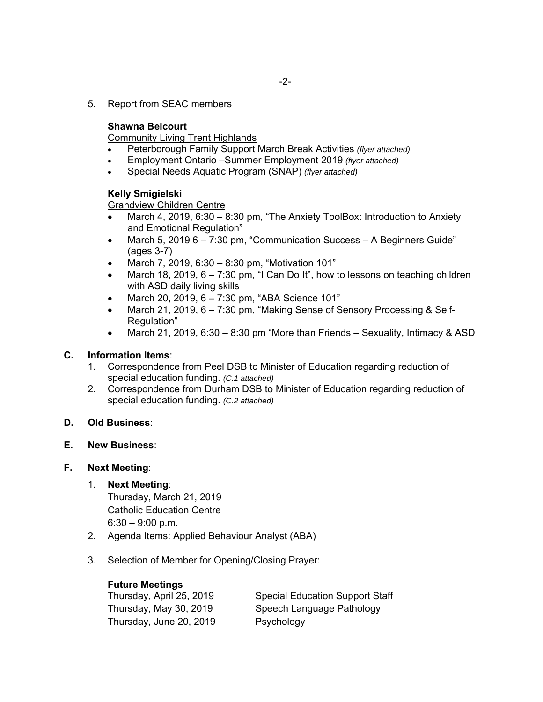5. Report from SEAC members

## **Shawna Belcourt**

Community Living Trent Highlands

- Peterborough Family Support March Break Activities *(flyer attached)*
- Employment Ontario –Summer Employment 2019 *(flyer attached)*
- Special Needs Aquatic Program (SNAP) *(flyer attached)*

### **Kelly Smigielski**

Grandview Children Centre

- March 4, 2019, 6:30 8:30 pm, "The Anxiety ToolBox: Introduction to Anxiety and Emotional Regulation"
- March 5, 2019 6 7:30 pm, "Communication Success A Beginners Guide" (ages 3-7)
- March 7, 2019, 6:30 8:30 pm, "Motivation 101"
- March 18, 2019,  $6 7:30$  pm, "I Can Do It", how to lessons on teaching children with ASD daily living skills
- March 20, 2019,  $6 7:30$  pm, "ABA Science 101"
- March 21, 2019, 6 7:30 pm, "Making Sense of Sensory Processing & Self-Regulation"
- March 21, 2019, 6:30 8:30 pm "More than Friends Sexuality, Intimacy & ASD

#### **C. Information Items**:

- 1. Correspondence from Peel DSB to Minister of Education regarding reduction of special education funding. *(C.1 attached)*
- 2. Correspondence from Durham DSB to Minister of Education regarding reduction of special education funding. *(C.2 attached)*
- **D. Old Business**:
- **E. New Business**:

#### **F. Next Meeting**:

1. **Next Meeting**:

 Thursday, March 21, 2019 Catholic Education Centre  $6:30 - 9:00$  p.m.

- 2. Agenda Items: Applied Behaviour Analyst (ABA)
- 3. Selection of Member for Opening/Closing Prayer:

| <b>Future Meetings</b>   |                                        |
|--------------------------|----------------------------------------|
| Thursday, April 25, 2019 | <b>Special Education Support Staff</b> |
| Thursday, May 30, 2019   | Speech Language Pathology              |
| Thursday, June 20, 2019  | Psychology                             |